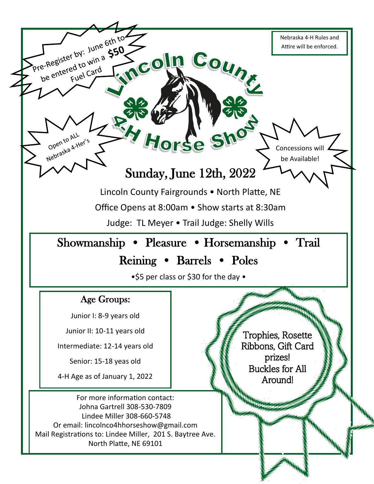